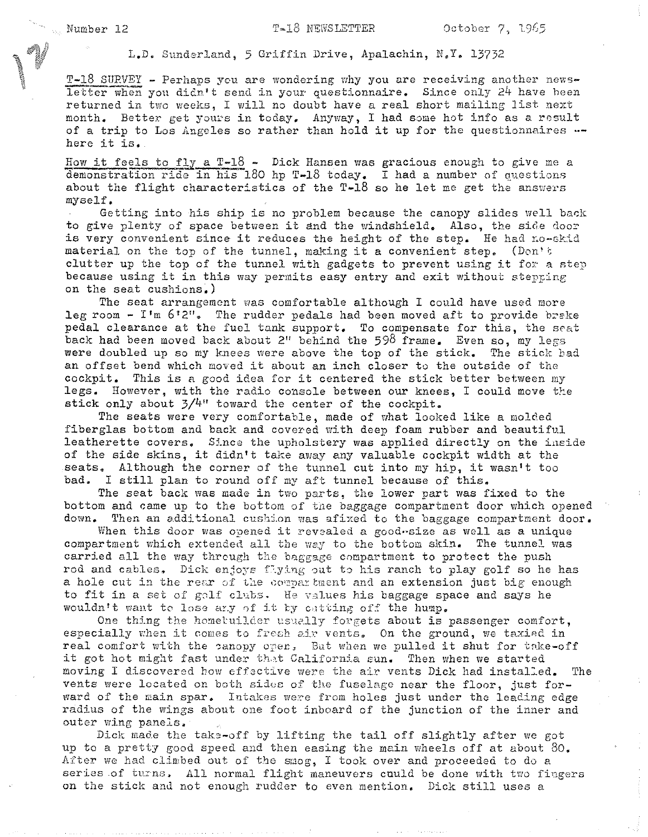L.D. Sunderland, 5 Griffin Drive, Apalachin, N,Y, 13732

T-18 SURVEY - Perhaps you are wondering why you are receiving another newsletter when you didn't send in your questionnaire. Since only 24 have heen returned in two weeks, I will no doubt have a real short mailing list next month. Better get yours in today. Anyway, I had some hot info as a result of a trip to Los Angeles so rather than hold it up for the questionnaires -here it is.,

How it feels to fly a T-18 - Dick Hansen was gracious enough to give me a demonstration ride in his 180 hp T-18 today. I had a number of questions about the flight characteristics of the  $T-18$  so he let me get the answers myself.

Getting into his ship is no problem because the canopy slides well back to give plenty of space between it and the windshield, Also, the side door is very convenient since it reduces the height of the step. He had no-skid material on the top of the tunnel, making it a convenient step. (Don't clutter up the top of the tunnel with gadgets to prevent using it for a step because using it in this way permits easy entry and exit without stepping on the seat cushions.)

The seat arrangement was comfortable although I could have used more leg room  $-$  I'm  $6'2''$ . The rudder pedals had been moved aft to provide brake pedal clearance at the fuel tank support. To compensate for this, the seat back had been moved back about 2" behind the 598 frame. Even so, my legs were doubled up so my knees were above the top of the stick. The stick had an offset bend which moved it about an inch closer to the outside of the cockpit. This is a good idea for it centered the stick better between my legs. However, with the radio console between our knees, I could move the stick only about  $3/4$ <sup>"</sup> toward the center of the cockpit.

The seats were very comfortable, made of what looked like a molded fiberglas bottom and back and covered with deep foam rubber and beautiful leatherette covers. Since the upholstery was applied directly on the inside of the side skins, it didn't take away any valuable cockpit width at the seats. Although the corner of the tunnel cut into my hip, it wasn't too bad. I still plan to round off my aft tunnel because of this.

The seat back was made in two parts, the lower part was fixed to the bottom and came up to the bottom of the baggage compartment door which opened down. Then an additional cushion was afixed to the baggage compartment door.

When this door was opened it revealed a good-size as well as a unique compartment which extended all the way to the bottom skin. The tunnel was carried all the way through the baggage compartment to protect the push rod and cables. Dick enjoys flying out to his ranch to play golf so he has a hole cut in the rear of the compartment and an extension just big enough to fit in a set of galf clubs. He values his baggage space and says he wouldn't want to lose ary of it by cutting off the hump.

One thing the hometuilder usually forgets about is passenger comfort, especially when it comes to fresh air vents. On the ground, we taxied in real comfort with the eanopy open, But when we pulled it shut for take-off it got hot might fast under that California sun. Then when we started moving I discovered how effective were the air vents Dick had installed. The vents were located on both sides of the fuselage near the floor, just forward of the main spar. Intakes were from holes just under the leading edge radius of the wings about one foot inboard of the junction of the inner and outer wing panels.

Dick made the take-off by lifting the tail off slightly after we got up to a pretty good speed and then easing the main wheels off at about 80. After we had climbed out of the smog, I took over and proceeded to do a series of turns, All normal flight maneuvers cuuld be done with two fingers on the stick and not enough rudder to even mention. Dick still uses a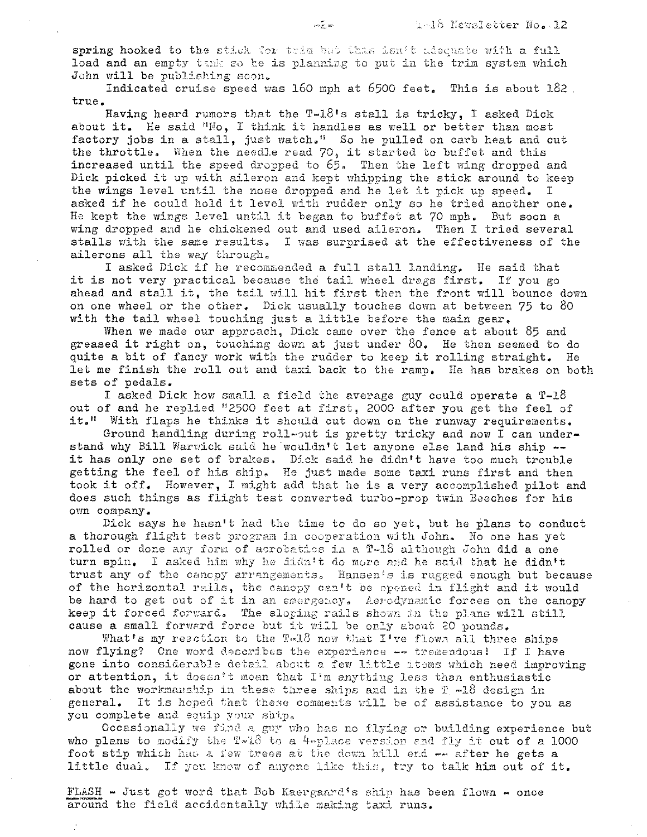spring hooked to the stick for trim but this isn't adequate with a full load and an empty tank so he is planning to put in the trim system which John will be publishing soon.

Indicated cruise speed was  $160$  mph at  $6500$  feet. This is about  $182$ . true.

Having heard rumors that the  $T-1.8$ 's stall is tricky, I asked Dick about it. He said "No, I think it handles as well or better than most factory jobs in a stall, just watch." So he pulled on carb heat and cut the throttle. When the needle read 70, it started to buffet and this increased until the speed dropped to 65, Then the left wing dropped and Dick picked it up with aileron and kept whipping the stick around to keep the wings level until the nose dropped and he let it pick up speed. I the wings level until the nose dropped and he let it pick up speed. asked if he could hold it level with rudder only so he tried another one. He kept the wings level until it began to buffet at 70 mph. But soon a wing dropped and he chickened out and used aileron. Then I tried several stalls with the same results. I was surprised at the effectiveness of the ailerons all the way through.

I asked Dick if he recommended a full stall landing. He said that it is not very practical because the tail wheel drags first. If you go ahead and stall it, the tail will hit first then the front will bounce down on one wheel or the other. Dick usually touches down at between 75 to 80 with the tail wheel touching just a little before the main gear.

When we made our approach, Dick came over the fence at about 85 and greased it right on, touching down at just under  $80$ . He then seemed to do quite a bit of fancy work with the rudder to keep it rolling straight. He let me finish the roll out and taxi back to the ramp. He has brakes on both sets of pedals.

I asked Dick how small a field the average guy could operate a T-18 out of and he replied '12500 feet at first, 2000 after you get the feel of it." With flaps he thinks it should cut down on the runway requirements.

Ground handling during roll-out is pretty tricky and now I can understand why Bill Warwick said he wouldn't let anyone else land his ship -it has only one set of brakes, Dick said he didn't have too much trouble getting the feel of his ship. He just made some taxi runs first and then took it off. However, I might add that he is a very accomplished pilot and does such things as flight test converted turbo-prop twin Beeches for his own company.

Dick says he hasn't had the time to do so yet, but he plans to conduct a thorough flight test program in cooperation with John. No one has yet rolled or done any form of acrobatios in a T-18 although John did a one turn spin. I asked him why he didn't do more and he said that he didn't trust any of the canopy arrangements. Hansen's is rugged enough but because of the horizontal rails, the canopy can't be opened in flight and it would be hard to get out of it in an emergency, Aerodynamic forces on the canopy keep it forced forward. The sloping rails shown in the plans will still cause a small forward force but it will be only about 20 pounds.

What's my reaction to the T.18 now that I've flown all three ships now flying? One word describes the experience -- tremendous! If I have gone into considerable detail about a few little items which need improving or attention, it doesn't mean that I'm anything less than enthusiastic about the workmanship in these three ships and in the  $I = -18$  design in general. It is hoped that these comments will be of assistance to you as you complete and equip your ship.

Occasionally we find a guy who has no flying or building experience but  $\frac{1}{2}$  who plans to modify the  $\frac{1}{2}$ -18 to a  $\frac{1}{2}$ -place version and fly it out of a 1000 foot stip which has a few trees at the down hill end  $\sim$  after he gets a little dual. If you know of anyone like this, try to talk him out of it.

FLASH - Just got word that Bob Kaergaard's ship has been flown - once around the field accidentally while making taxi runs.

 $\mathbb{I}^*$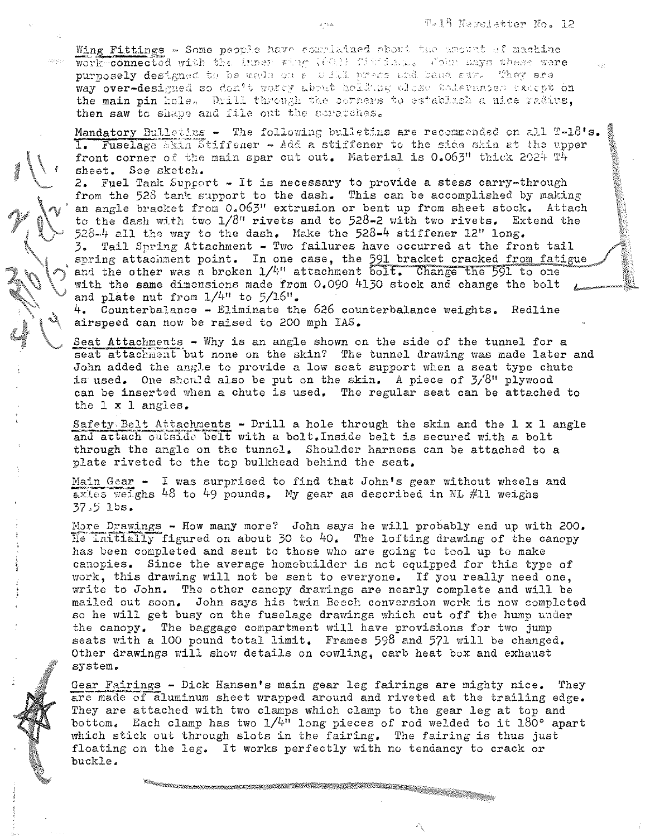Wing Fittings - Some people have complained about the amount of machine work connected with the inner whap (602) fibrically violet says these were purposely designed to be used on a will press and band sure They are way over-designed so don't worty about holding cless tolerances except on the main pin hole. Drill through the corners to establish a nice radius, then saw to shape and file out the scratches.

Mandatory Bulleting - The following bulletins are recommended on all T-18's. 1. Fuselage skin Stiffener - Add a stiffener to the side skin at the upper front corner of the main spar cut out. Material is 0.063" thick 2024 T4 sheet. See sketch.

2. Fuel Tank Supcort - It is necessary to provide a stess carry-through from the 528 tank support to the dash. This can be accomplished by making an angle bracket from 0.063" extrusion or bent up from sheet stock. Attach to the dash with two 1/8" rivets and to 528-2 with two rivets. Extend the 528-4 all the way to the dash. Make the 528-4 stiffener  $12$ " long.

Tail Spring Attachment - Two failures have occurred at the front tail  $\mathbf{3}$ . spring attachment point. In one case, the 591 bracket cracked from fatigue and the other was a broken  $1/4$ " attachment bolt. Change the 591 to one with the same dimensions made from 0.090 4130 stock and change the bolt and plate nut from  $1/4$ " to  $5/16$ ".

4. Counterbalance - Eliminate the 626 counterbalance weights. Redline airspeed can now be raised to 200 mph IAS.

Seat Attachments - Why is an angle shown on the side of the tunnel for a seat attachment but none on the skin? The tunnel drawing was made later and John added the angle to provide a low seat support when a seat type chute is used. One should also be put on the skin. A piece of 3/8" plywood can be inserted when a chute is used. The regular seat can be attached to the  $1 \times 1$  angles.

Safety Belt Attachments - Drill a hole through the skin and the  $1 \times 1$  angle and attach outside belt with a bolt. Inside belt is secured with a bolt through the angle on the tunnel. Shoulder harness can be attached to a plate riveted to the top bulkhead behind the seat.

Main Gear - I was surprised to find that John's gear without wheels and  $\overline{ax}$ les weighs 48 to 49 pounds. My gear as described in NL #11 weighs  $37.5$  lbs.

More Drawings - How many more? John says he will probably end up with 200. He initially figured on about 30 to 40. The lofting drawing of the canopy has been completed and sent to those who are going to tool up to make canopies. Since the average homebuilder is not equipped for this type of work, this drawing will not be sent to everyone. If you really need one, write to John. The other canopy drawings are nearly complete and will be mailed out soon. John says his twin Beech conversion work is now completed so he will get busy on the fuselage drawings which cut off the hump under the canopy. The baggage compartment will have provisions for two jump seats with a 100 pound total limit. Frames 598 and 571 will be changed. Other drawings will show details on cowling, carb heat box and exhaust system.

Gear Fairings - Dick Hansen's main gear leg fairings are mighty nice. They are made of aluminum sheet wrapped around and riveted at the trailing edge. They are attached with two clamps which clamp to the gear leg at top and bottom. Each clamp has two  $1/4$ <sup>11</sup> long pieces of rod welded to it 180° apart which stick out through slots in the fairing. The fairing is thus just floating on the leg. It works perfectly with no tendancy to crack or buckle.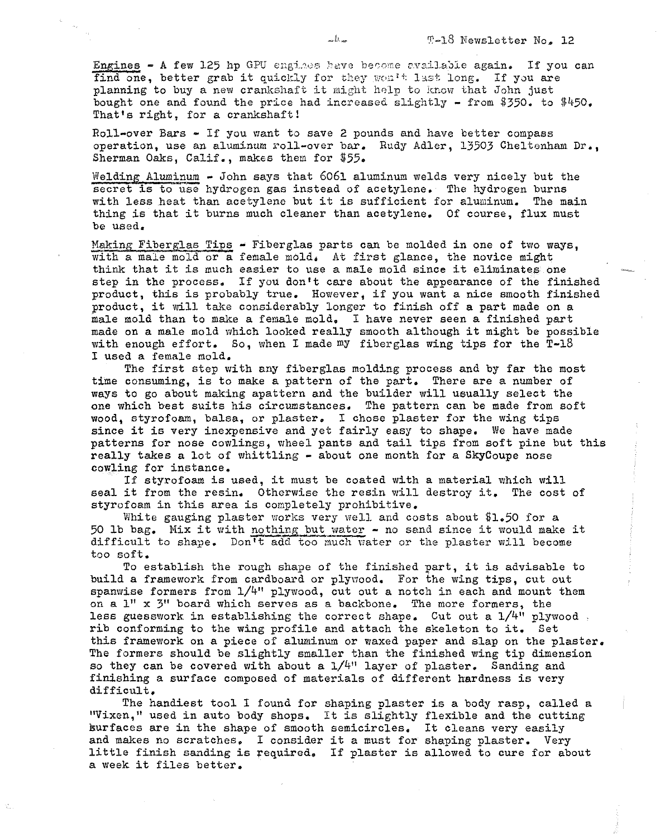Engines - A few 125 hp GPU engines have become available again. If you can find one, better grab it quickly for they won't last long. If you are planning to buy a new crankshaft it might help to know that John just bought one and found the price had increased slightly - from \$350. to  $$450$ . That's right, for a crankshaft!

Roll-over Bars - If you want to save 2 pounds and have better compass operation, use an aluminum roll-over bar. Rudy Adler, 13503 Cheltenham Dr., Sherman Oaks, Calif., makes them for \$55.

Welding Aluminum - John says that  $6061$  aluminum welds very nicely but the secret is to use hydrogen gas instead of acetylene. The hydrogen burns with less heat than acetylene but it is sufficient for aluminum. The main thing is that it burns much cleaner than acetylene. Of course, flux must be used.

Making Fiberglas Tips - Fiberglas parts can be molded in one of two ways. with a male mold or a female mold. At first glance, the novice might think that it is much easier to use a male mold since it eliminates one step in the process. If you don't care about the appearance of the finished product, this is probably true. However, if you want a nice smooth finished product, it will take considerably longer to finish off a part made on a male mold than to make a female mold. I have never seen a finished part made on a male mold which looked really smooth although it might be possible with enough effort. So, when I made my fiberglas wing tips for the  $T-18$ I used a female mold.

The first step with any fiberglas molding process and by far the most time consuming, is to make a pattern of the part. There are a number of ways to go about making apattern and the builder will usually select the one which best suits his circumstances. The pattern can be made from soft wood, styrofoam, balsa, or plaster. I chose plaster for the wing tips since it is very inexpensive and yet fairly easy to shape. We have made patterns for nose cowlings, wheel pants and tail tips from soft pine but this really takes a lot of whittling - about one month for a SkyCoupe nose cowling for instance.

If styrofoam is used, it must be coated with a material which will seal it from the resin. Otherwise the resin will destroy **it.** The cost of styrofoam in this area is completely prohibitive.

White gauging plaster works very well and costs about  $$1.50$  for a 50 lb bag. Mix it with nothing but water  $-$  no sand since it would make it difficult to shape. Don't add too much water or the plaster will become too soft.

To establish the rough shape of the finished part, it is advisable to build a framework from cardboard or plywood. For the wing tips, cut out spanwise formers from 1/4" plywood, cut out a notch in each and mount them on a 1" x 3" board which serves as a backbone. The more formers, the less guesswork in establishing the correct shape. Cut out a  $1/4$ " plywood, rib conforming to the wing profile and attach the skeleton to **it.** Set this framework on a piece of aluminum or waxed paper and slap on the plaster. The formers should be slightly smaller than the finished wing tip dimension so they can be covered with about a  $1/4$ <sup>11</sup> layer of plaster. Sanding and finishing a surface composed of materials of different hardness is very difficult.

The handiest tool I found for shaping plaster is a body rasp, called a "Vixen," used in auto body shops. It is slightly flexible and the cutting surfaces are in the shape of smooth semicircles. It cleans very easily and makes no scratches. I consider it a must for shaping plaster. Very little finish sanding is required. If plaster is allowed to cure for about a week it files better.